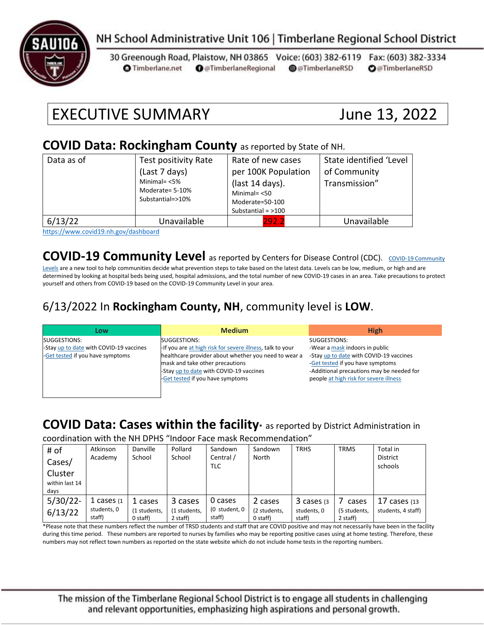

# NH School Administrative Unit 106 | Timberlane Regional School District

30 Greenough Road, Plaistow, NH 03865 Voice: (603) 382-6119 Fax: (603) 382-3334 **O** Timberlane.net **O** @TimberlaneRegional @@TimberlaneRSD **O**@TimberlaneRSD

# EXECUTIVE SUMMARY June 13, 2022

#### **COVID Data: Rockingham County** as reported by State of NH.

| Data as of | Test positivity Rate<br>(Last 7 days)<br>Minimal= $<$ 5%<br>Moderate= 5-10%<br>Substantial=>10% | Rate of new cases<br>per 100K Population<br>(last 14 days).<br>Minimal $=$ <50<br>Moderate=50-100<br>Substantial = $>100$ | State identified 'Level<br>of Community<br>Transmission" |
|------------|-------------------------------------------------------------------------------------------------|---------------------------------------------------------------------------------------------------------------------------|----------------------------------------------------------|
| 6/13/22    | Unavailable                                                                                     | 292.2                                                                                                                     | Unavailable                                              |

<https://www.covid19.nh.gov/dashboard>

### **[COVID-19 Community](https://www.cdc.gov/coronavirus/2019-ncov/science/community-levels.html) Level** as reported by Centers for Disease Control (CDC). COVID-19 Community

[Levels](https://www.cdc.gov/coronavirus/2019-ncov/science/community-levels.html) are a new tool to help communities decide what prevention steps to take based on the latest data. Levels can be low, medium, or high and are determined by looking at hospital beds being used, hospital admissions, and the total number of new COVID-19 cases in an area. Take precautions to protect yourself and others from COVID-19 based on the COVID-19 Community Level in your area.

### 6/13/2022 In **Rockingham County, NH**, community level is **LOW**.

| Low                                     | <b>Medium</b>                                             | <b>High</b>                               |
|-----------------------------------------|-----------------------------------------------------------|-------------------------------------------|
| SUGGESTIONS:                            | SUGGESTIONS:                                              | SUGGESTIONS:                              |
| -Stay up to date with COVID-19 vaccines | -If you are at high risk for severe illness, talk to your | -Wear a mask indoors in public            |
| -Get tested if you have symptoms        | healthcare provider about whether you need to wear a      | -Stay up to date with COVID-19 vaccines   |
|                                         | mask and take other precautions                           | -Get tested if you have symptoms          |
|                                         | -Stay up to date with COVID-19 vaccines                   | -Additional precautions may be needed for |
|                                         | -Get tested if you have symptoms                          | people at high risk for severe illness    |
|                                         |                                                           |                                           |
|                                         |                                                           |                                           |

# **COVID Data: Cases within the facility\*** as reported by District Administration in

coordination with the NH DPHS "Indoor Face mask Recommendation"

| # of<br>Cases/<br>Cluster<br>within last 14<br>days | Atkinson<br>Academy                    | Danville<br>School                  | Pollard<br>School                   | Sandown<br>Central /<br>TLC        | Sandown<br>North                      | <b>TRHS</b>                          | <b>TRMS</b>                       | Total in<br><b>District</b><br>schools  |
|-----------------------------------------------------|----------------------------------------|-------------------------------------|-------------------------------------|------------------------------------|---------------------------------------|--------------------------------------|-----------------------------------|-----------------------------------------|
| $5/30/22$ -<br>6/13/22                              | 1 cases $(1)$<br>students, 0<br>staff) | 1 cases<br>(1 students,<br>0 staff) | 3 cases<br>(1 students,<br>2 staff) | 0 cases<br>(0 student, 0<br>staff) | 2 cases<br>(2 students,<br>$0$ staff) | 3 cases (3)<br>students, 0<br>staff) | cases<br>(5 students,<br>2 staff) | $17$ cases $(13)$<br>students, 4 staff) |

\*Please note that these numbers reflect the number of TRSD students and staff that are COVID positive and may not necessarily have been in the facility during this time period. These numbers are reported to nurses by families who may be reporting positive cases using at home testing. Therefore, these numbers may not reflect town numbers as reported on the state website which do not include home tests in the reporting numbers.

The mission of the Timberlane Regional School District is to engage all students in challenging and relevant opportunities, emphasizing high aspirations and personal growth.